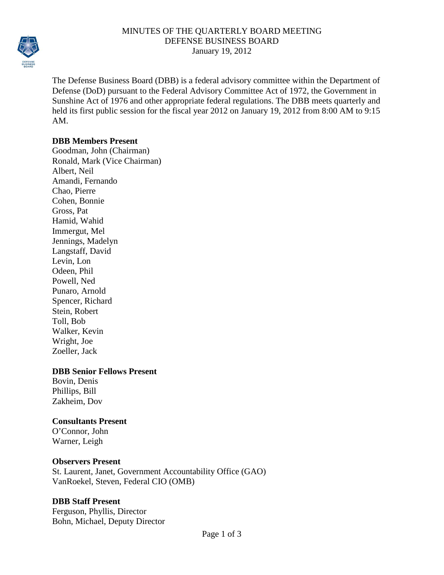

#### MINUTES OF THE QUARTERLY BOARD MEETING DEFENSE BUSINESS BOARD January 19, 2012

The Defense Business Board (DBB) is a federal advisory committee within the Department of Defense (DoD) pursuant to the Federal Advisory Committee Act of 1972, the Government in Sunshine Act of 1976 and other appropriate federal regulations. The DBB meets quarterly and held its first public session for the fiscal year 2012 on January 19, 2012 from 8:00 AM to 9:15 AM.

#### **DBB Members Present**

Goodman, John (Chairman) Ronald, Mark (Vice Chairman) Albert, Neil Amandi, Fernando Chao, Pierre Cohen, Bonnie Gross, Pat Hamid, Wahid Immergut, Mel Jennings, Madelyn Langstaff, David Levin, Lon Odeen, Phil Powell, Ned Punaro, Arnold Spencer, Richard Stein, Robert Toll, Bob Walker, Kevin Wright, Joe Zoeller, Jack

## **DBB Senior Fellows Present**

Bovin, Denis Phillips, Bill Zakheim, Dov

## **Consultants Present**

O'Connor, John Warner, Leigh

## **Observers Present**

St. Laurent, Janet, Government Accountability Office (GAO) VanRoekel, Steven, Federal CIO (OMB)

## **DBB Staff Present**

Ferguson, Phyllis, Director Bohn, Michael, Deputy Director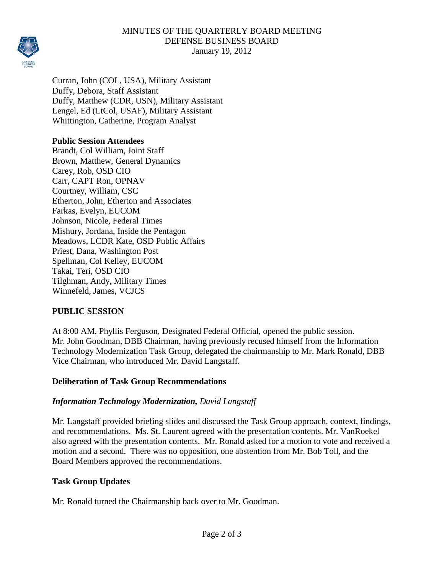

## MINUTES OF THE QUARTERLY BOARD MEETING DEFENSE BUSINESS BOARD January 19, 2012

Curran, John (COL, USA), Military Assistant Duffy, Debora, Staff Assistant Duffy, Matthew (CDR, USN), Military Assistant Lengel, Ed (LtCol, USAF), Military Assistant Whittington, Catherine, Program Analyst

# **Public Session Attendees**

Brandt, Col William, Joint Staff Brown, Matthew, General Dynamics Carey, Rob, OSD CIO Carr, CAPT Ron, OPNAV Courtney, William, CSC Etherton, John, Etherton and Associates Farkas, Evelyn, EUCOM Johnson, Nicole, Federal Times Mishury, Jordana, Inside the Pentagon Meadows, LCDR Kate, OSD Public Affairs Priest, Dana, Washington Post Spellman, Col Kelley, EUCOM Takai, Teri, OSD CIO Tilghman, Andy, Military Times Winnefeld, James, VCJCS

# **PUBLIC SESSION**

At 8:00 AM, Phyllis Ferguson, Designated Federal Official, opened the public session. Mr. John Goodman, DBB Chairman, having previously recused himself from the Information Technology Modernization Task Group, delegated the chairmanship to Mr. Mark Ronald, DBB Vice Chairman, who introduced Mr. David Langstaff.

## **Deliberation of Task Group Recommendations**

## *Information Technology Modernization, David Langstaff*

Mr. Langstaff provided briefing slides and discussed the Task Group approach, context, findings, and recommendations. Ms. St. Laurent agreed with the presentation contents. Mr. VanRoekel also agreed with the presentation contents. Mr. Ronald asked for a motion to vote and received a motion and a second. There was no opposition, one abstention from Mr. Bob Toll, and the Board Members approved the recommendations.

## **Task Group Updates**

Mr. Ronald turned the Chairmanship back over to Mr. Goodman.